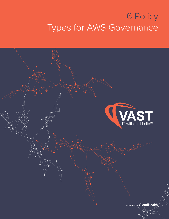## 6 Policy Types for AWS Governance

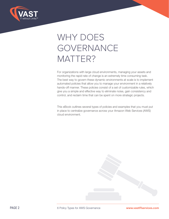

### WHY DOES GOVERNANCE MATTER?

For organizations with large cloud environments, managing your assets and monitoring the rapid rate of change is an extremely time consuming task. The best way to govern these dynamic environments at scale is to implement automated policies that allow you to manage your environment in a relatively hands-off manner. These policies consist of a set of customizable rules, which give you a simple and effective way to eliminate noise, gain consistency and control, and reclaim time that can be spent on more strategic projects.

This eBook outlines several types of policies and examples that you must put in place to centralize governance across your Amazon Web Services (AWS) cloud environment.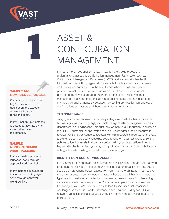

#### **SAMPLE TAG COMPLIENCE POLICIES**

**1**

If any asset is missing the tag "Environment", send notification and execute a Lambda function to tag the asset.

If any Amazon EC2 Instance is untagged, alert its owner via email and stop the instance.

#### **SAMPLE NONCONFORMING ASSET POLICIES**

If any X1 instance type is launched, send through approval workflow first.

If any instance is launched in a non-conforming region, send through approval workflow first.

## ASSET & CONFIGURATION MANAGEMENT

In most on-premises environments, IT teams have a solid process for understanding asset and configuration management. Using tools such as ConfigurationManagement Databases (CMDB) and frameworks like the IT Information Library (ITIL), organizations are able to tightly control deployments and ensure standardization. In the cloud world where virtually any user can provision infrastructure in a few clicks with a credit card, these previously developed frameworks fall apart. In order to bring asset and configuration management back under control, advanced IT shops realized they needed to manage their environments by exception: by setting up rules for non-approved configurations and assets and then closely monitoring for them.

#### **TAG COMPLIANCE**

Tagging is an essential way to accurately categorize assets to their appropriate business groups. By using tags, you might assign labels for categories such as department (e.g. Engineering), product, environment (e.g. Production), application (e.g. HRIS), customer, or application role (e.g. Cassandra). Once a resource is tagged, AWS ensures usage associated with this resource is reported by this tag, allowing you to more easily associate costs to different business groups. Setting policies to identify assets that do not conform with your organization's internal tagging standards can help you stay on top of tag compliance. This might include untagged assets, mistagged assets, or misspelled tags.

#### **IDENTIFY NON-CONFORMING ASSETS**

In any organization, there are asset types and configurations that are not-preferred or outright not allowed. There are many reasons that an organization may wish to set a policy preventing certain assets from running: the organization may receive special discounts on certain instance types or have decided that certain instance types are too costly. An organization may want to prevent users from launching instances in certain regions, such as China, for example, for security reasons. Launching an older AMI type or OS could lead to security or interoperability challenges. Whether is it certain instance types, regions, AMI types, OS, or network types, it's critical that you can quickly identify these and take action to correct them.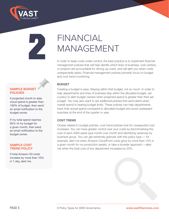



#### **SAMPLE BUDGET POLICIES**

If projected month to date cloud spend is greater than 100% of budget, then send an email notification to the budget owner.

If my total spend reaches 85% of my budget for a given month, then send an email notification to the budget owner.

#### **SAMPLE COST TREND POLICY**

If total Amazon S3 costs increase by more than 10% in 1 day, alert me.

# **2** FINANCIAL MANAGEMENT

In order to keep costs under control, the best practice is to implement financial management policies that will help identify which lines of business, cost centers, or projects are accountable for driving up costs, and will alert you when costs unexpectedly spike. Financial management policies primarily focus on budget and cost trend monitoring.

#### **BUDGET**

Creating a budget is easy. Staying within that budget, not so much. In order to help departments and lines of business stay within the allocated budget, set a policy to alert budget owners when projected spend is greater than their set budget. You may also want to set additional policies that send alerts when overall spend is nearing budget limits. These policies can help departments track their actual spend compared to allocated budget and avoid unpleasant surprises at the end of the quarter or year.

#### **COST TREND**

Closely related to budget policies, cost trend policies look for unexpected cost increases. You can have greater control over your costs by benchmarking the cost of each AWS asset type month over month and identifying variances by business group. You can get extremely granular with this policy type — for example, alert me when Amazon CloudFront costs grow by more than 10% in a given month for my production assets, or take a broader approach —alert me when the total cost of any department increases by 20%.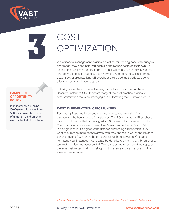

# **3** COST<br> **3** OPTIM<br>
While financial manage **OPTIMIZATION**

While financial management policies are critical for keeping pace with budgets and trends, they don't help you optimize and reduce costs on their own. To achieve this, you need to create policies that will help you proactively reduce and optimize costs in your cloud environment. According to Gartner, through 2020, 80% of organizations will overshoot their cloud IaaS budgets due to a lack of cost optimization approaches.

In AWS, one of the most effective ways to reduce costs is to purchase Reserved Instances (RIs), therefore many of the best practice policies for cost optimization focus on managing and automating the full lifecycle of RIs.

#### **IDENTIFY RESERVATION OPPORTUNITIES**

Purchasing Reserved Instances is a great way to receive a significant discount on the hourly prices for instances. The ROI for a typical RI purchase for an EC2 Instance that is running 24/7/365 is around six or seven months. Given that, if an instance is running On-Demand more than 450 to 550 hours in a single month, it's a good candidate for purchasing a reservation. If you want to purchase more conservatively, you may choose to watch the instance behavior over a few months before purchasing the reservation. Of course, rightsizing your instances must always be done before making any RI purchase. terminated if deemed nonessential. Take a snapshot, or point-in-time copy, of the asset before terminating or stopping it to ensure you can recover it if the asset is needed again.

*1 Source: Gartner, How to Identify Solutions for Managing Costs in Public Cloud IaaS, Craig Lowery,* 

If an instance is running On-Demand for more than 550 hours over the course of a month, send an email alert, potential RI purchase.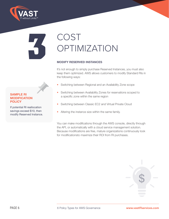

**3** COST<br> **3** OPTIM<br>
MODIFY RESERVEI **OPTIMIZATION** 

#### **MODIFY RESERVED INSTANCES**

It's not enough to simply purchase Reserved Instances, you must also keep them optimized. AWS allows customers to modify Standard RIs in the following ways:

- Switching between Regional and an Availability Zone scope
- Switching between Availability Zones for reservations scoped to a specific zone within the same region
- Switching between Classic EC2 and Virtual Private Cloud
- Altering the instance size within the same family.

You can make modifications through the AWS console, directly through the API, or automatically with a cloud service management solution. Because modifications are free, mature organizations continuously look for modificationsto maximize their ROI from RI purchases.



#### **SAMPLE RI MODIFICATION POLICY**

If potential RI reallocation savings exceed \$10, then modify Reserved Instance.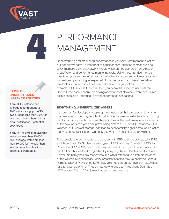

#### **SAMPLE UNDERUTILIZED INSTANCE POLICIES**

If any RDS Instance has average read throughput AND write throughput AND swap usage less than 35% for over two weeks, then send an email notification - potential downgrade.

If any io1 volume type average reads are less than 10,000 AND average writes are less than 10,000 for 1 week, then send an email notification, potential downgrade.

## **4** PERFORMANCE MANAGEMENT

Understanding and monitoring performance in your AWS environment is critical, but not always easy. It's important to consider core utilization metrics such as CPU, memory, disk, and network in/out, which can be gathered from Amazon CloudWatch and performance monitoring tools. Using these trended metrics over time, you can gain information on whether instances and volumes are sized properly and performing as expected. It is a best practice to have pre-defined thresholds for what constitutes normal behavior for your infrastructure. For example, if CPU is less than 20% then you deem that asset as underutilized. Underutilized assets should be downgraded for cost efficiency, while overutilized assets should be upgraded to avoid performance headaches.

#### **RIGHTSIZING UNDERUTILIZED ASSETS**

It's common for developers to spin up new instances that are substantially larger than necessary. This may be intentional to give themselves extra headroom during production or accidental because they don't know the performance requirements of the new workload yet. Over-provisioning Amazon EC2 or RDS Instances, EBS volumes, or S3 object storage, can lead to exponentially higher costs, so it's critical that you set up policies that will notify you when an asset is over-provisioned.

For example, the critical factors to consider with EBS volumes are capacity, IOPS, and throughput. AWS offers several types of EBS volumes, from Cold HDDs to Provisioned IOPS SSDs, each with their own set of pricing and performance. You can find candidates for downgrading by analyzing the read/writes on all volumes. If a volume barely has any read/writes, it is either attached to a zombie instance or the volume is unnecessary. Many organizations find they've deployed General Purpose SSD or Provisioned IOPS SSD volumes that barely have any read/writes for a long period of time. They can be downgraded to Throughput Optimized HDD or even Cold HDD volumes in order to reduce costs.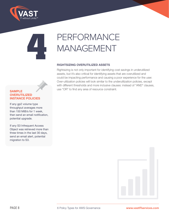

## **4** PERFORMANCE MANAGEMENT

#### **RIGHTSIZING OVERUTILIZED ASSETS**

Rightsizing is not only important for identifying cost savings in underutilized assets, but it's also critical for identifying assets that are overutilized and could be impacting performance and causing a poor experience for the user. Over-utilization policies will look similar to the underutilization policies, except with different thresholds and more inclusive clauses: instead of "AND" clauses, use "OR" to find any area of resource constraint. **SAMPLE** 

### **OVERUTILIZED INSTANCE POLICIES**

If any gp2 volume type throughput averages more than 150 MiB/s for 1 week, then send an email notification, potential upgrade.

If any S3 Infrequent Access Object was retrieved more than three times in the last 30 days, send an email alert, potential migration to S3.

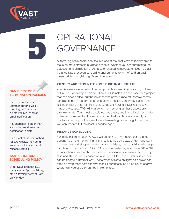

## **5** OPERATIONAL GOVERNANCE

Automating basic operational tasks is one of the best ways to reclaim time to focus on more strategic business projects. Whether you are automating the detection and elimination of zombies or unused infrastructure, flagging older instance types, or even scheduling environments to turn off and on again, these policies can yield significant time savings.

#### **IDENTIFY AND TERMINATE ZOMBIE INFRASTRUCTURE**

Zombie assets are infrastructure components running in your cloud, but are not in use. For example, this could be an EC2 Instance once used for a project that has since ended, but the instance was never turned off. Zombie assets can also come in the form of an unattached ElasticIP, an empty Elastic Load Balancer (ELB), or an idle Relational Database Service (RDS) instance. No matter the cause, AWS will charge for them as long as these assets are in a running state. They must be isolated, evaluated, and immediately terminated if deemed nonessential. It is recommended that you take a snapshot, or point-in-time copy, of the asset before terminating or stopping it to ensure you can recover it, if the asset is needed again.

#### **INSTANCE SCHEDULING**

For instances running 24/7, AWS will bill for 672 – 744 hours per instance, depending on the month. If an instance is turned off between 5pm and 9am on weekdays and stopped weekends and holidays, then total billable hours per month would range from 152 – 184 hours per instance, saving you 488 – 592 instance hours per month. The most cost efficient environments dynamically stop and start instances based on a set schedule. Each cluster of instances can be treated a different way. These types of lights on/lights off policies can often be even more cost effective than RI purchases, so it's crucial to analyze where this type of policy can be implemented.

### **SAMPLE ZOMBIE TERMINATION POLICIES**

If an EBS volume is unattached for 1 week, then trigger Snapshot, delete volume, send an email notification.

If a Snapshot is older than 2 months, send an email notification, delete.

If an ElasticIP is unattached for two weeks, then send an email notification, and release ElasticIP.

#### **SAMPLE INSTANCE SCHEDULING POLICY**

Stop 'Development' EC2 Instances at 7pm on Friday, start 'Development' at 6am on Monday.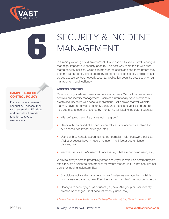

### **6** SECURITY & INCIDENT MANAGEMENT

In a rapidly evolving cloud environment, it is important to keep up with changes that might impact your security posture. The best way to do this is with automated security policies, which can monitor for issues and flag them before they become catastrophic. There are many different types of security policies to set across access control, network security, application security, data security, log management, and resiliency.

#### **ACCESS CONTROL**

Cloud security starts with users and access controls. Without proper access controls and identity management, users can intentionally or unintentionally create security flaws with serious implications. Set policies that will validate that you have properly and securely configured access to your cloud and to help you stay ahead of breaches by monitoring for leading indicators such as:

- Misconfigured users (i.e., users not in a group)
- Users with too broad of a span of control (i.e., root accounts enabled for API access, too broad privileges, etc.)
- Users with vulnerable accounts (i.e., not compliant with password policies, IAM user access keys in need of rotation, multi-factor authentication disabled, etc.)
- Inactive users (i.e., IAM user with access keys that are not being used, etc.)

While it's always best to proactively catch security vulnerabilities before they are exploited, it's prudent to also monitor for events that could turn into security incidents, or lagging indicators, like:

- Suspicious activity (i.e., a large volume of instances are launched outside of normal usage patterns, new IP address for login on IAM user accounts, etc.)
- Changes to security groups or users (i.e., new IAM group or user recently created or changed, Root account recently used, etc.)

*2 Source: Gartner, Clouds Are Secure: Are You Using Them Securely? Jay Heiser, 31 January 2018.*

#### **SAMPLE ACCESS CONTROL POLICY**

If any accounts have root account API access, then send an email notification, and execute a Lambda function to revoke user access.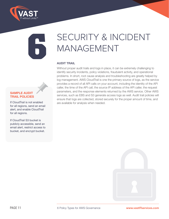

### **6** SECURITY & INCIDENT MANAGEMENT

#### **AUDIT TRAIL**

Without proper audit trails and logs in place, it can be extremely challenging to identify security incidents, policy violations, fraudulent activity, and operational problems. In short, root cause analysis and troubleshooting are greatly helped by log management. AWS CloudTrail is one the primary source of logs, as the service provides a record of all API calls on your account, including the identity of the API caller, the time of the API call, the source IP address of the API caller, the request parameters, and the response elements returned by the AWS service. Other AWS services, such as EBS and S3 generate access logs as well. Audit trail policies will ensure that logs are collected, stored securely for the proper amount of time, and are available for analysis when needed.

#### **SAMPLE AUDIT TRAIL POLICIES**

If CloudTrail is not enabled for all regions, send an email alert, and enable CloudTrail for all regions.

If CloudTrail S3 bucket is publicly accessible, send an email alert, restrict access to bucket, and encrypt bucket.